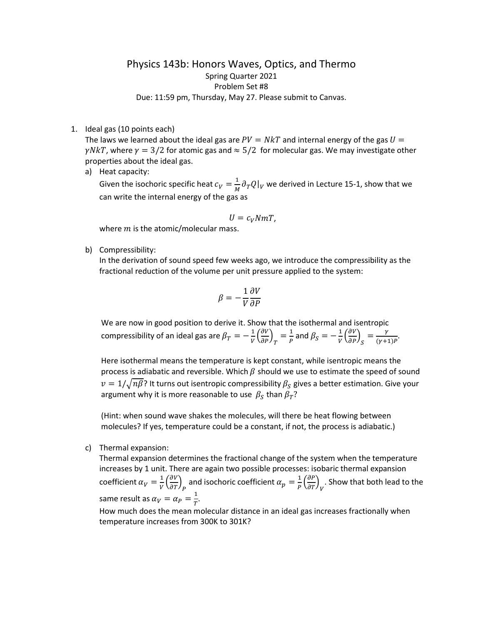## Physics 143b: Honors Waves, Optics, and Thermo Spring Quarter 2021 Problem Set #8 Due: 11:59 pm, Thursday, May 27. Please submit to Canvas.

1. Ideal gas (10 points each)

The laws we learned about the ideal gas are  $PV = NkT$  and internal energy of the gas  $U =$  $\gamma N kT$ , where  $\gamma = 3/2$  for atomic gas and  $\approx 5/2$  for molecular gas. We may investigate other properties about the ideal gas.

a) Heat capacity:

Given the isochoric specific heat  $c_V = \frac{1}{M} \partial_T Q|_V$  we derived in Lecture 15-1, show that we can write the internal energy of the gas as

$$
U=c_V NmT,
$$

where  $m$  is the atomic/molecular mass.

b) Compressibility:

In the derivation of sound speed few weeks ago, we introduce the compressibility as the fractional reduction of the volume per unit pressure applied to the system:

$$
\beta = -\frac{1}{V} \frac{\partial V}{\partial P}
$$

We are now in good position to derive it. Show that the isothermal and isentropic compressibility of an ideal gas are  $\beta_T = -\frac{1}{V} \left( \frac{\partial V}{\partial P} \right)_T = \frac{1}{P}$  and  $\beta_S = -\frac{1}{V} \left( \frac{\partial V}{\partial P} \right)_S = \frac{Y}{(Y+1)P}$ .

Here isothermal means the temperature is kept constant, while isentropic means the process is adiabatic and reversible. Which  $\beta$  should we use to estimate the speed of sound  $v = 1/\sqrt{n\beta}$ ? It turns out isentropic compressibility  $\beta_S$  gives a better estimation. Give your argument why it is more reasonable to use  $\beta_S$  than  $\beta_T$ ?

(Hint: when sound wave shakes the molecules, will there be heat flowing between molecules? If yes, temperature could be a constant, if not, the process is adiabatic.)

c) Thermal expansion:

Thermal expansion determines the fractional change of the system when the temperature increases by 1 unit. There are again two possible processes: isobaric thermal expansion coefficient  $\alpha_V = \frac{1}{V} \left(\frac{\partial V}{\partial T}\right)_P$  and isochoric coefficient  $\alpha_p = \frac{1}{P} \left(\frac{\partial P}{\partial T}\right)_V$ . Show that both lead to the same result as  $\alpha_V = \alpha_P = \frac{1}{T}$ .

How much does the mean molecular distance in an ideal gas increases fractionally when temperature increases from 300K to 301K?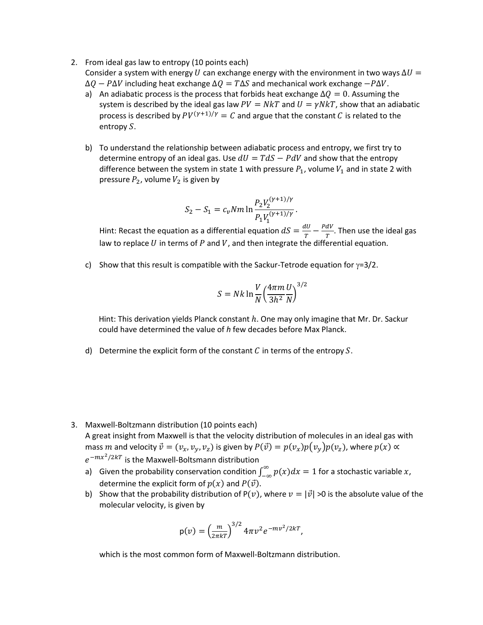- 2. From ideal gas law to entropy (10 points each) Consider a system with energy U can exchange energy with the environment in two ways  $\Delta U =$  $\Delta Q - P \Delta V$  including heat exchange  $\Delta Q = T \Delta S$  and mechanical work exchange  $-P \Delta V$ .
	- a) An adiabatic process is the process that forbids heat exchange  $\Delta Q = 0$ . Assuming the system is described by the ideal gas law  $PV = NkT$  and  $U = \gamma NkT$ , show that an adiabatic process is described by  $PV^{(\gamma+1)/\gamma} = C$  and argue that the constant C is related to the entropy  $S$ .
	- b) To understand the relationship between adiabatic process and entropy, we first try to determine entropy of an ideal gas. Use  $dU = TdS - PdV$  and show that the entropy difference between the system in state 1 with pressure  $P_1$ , volume  $V_1$  and in state 2 with pressure  $P_2$ , volume  $V_2$  is given by

$$
S_2 - S_1 = c_v N m \ln \frac{P_2 V_2^{(\gamma + 1)/\gamma}}{P_1 V_1^{(\gamma + 1)/\gamma}}.
$$

Hint: Recast the equation as a differential equation  $dS = \frac{dv}{T} - \frac{Pdv}{T}$ . Then use the ideal gas law to replace  $U$  in terms of  $P$  and  $V$ , and then integrate the differential equation.

c) Show that this result is compatible with the Sackur-Tetrode equation for  $\gamma=3/2$ .

$$
S = Nk \ln \frac{V}{N} \left(\frac{4\pi m}{3h^2} \frac{U}{N}\right)^{3/2}
$$

Hint: This derivation yields Planck constant h. One may only imagine that Mr. Dr. Sackur could have determined the value of *h* few decades before Max Planck.

d) Determine the explicit form of the constant  $C$  in terms of the entropy  $S$ .

- 3. Maxwell-Boltzmann distribution (10 points each) A great insight from Maxwell is that the velocity distribution of molecules in an ideal gas with mass m and velocity  $\vec{v} = (v_x, v_y, v_z)$  is given by  $P(\vec{v}) = p(v_x)p(v_y)p(v_z)$ , where  $p(x) \propto$  $e^{-mx^2/2kT}$  is the Maxwell-Boltsmann distribution
	- a) Given the probability conservation condition  $\int_{-\infty}^{\infty} p(x) dx = 1$  for a stochastic variable x, determine the explicit form of  $p(x)$  and  $P(\vec{v})$ .
	- b) Show that the probability distribution of P(v), where  $v = |\vec{v}| > 0$  is the absolute value of the molecular velocity, is given by

$$
p(v) = \left(\frac{m}{2\pi kT}\right)^{3/2} 4\pi v^2 e^{-mv^2/2kT},
$$

which is the most common form of Maxwell-Boltzmann distribution.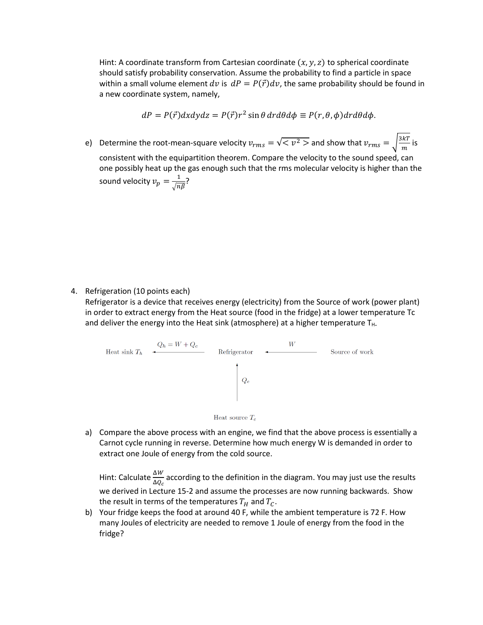Hint: A coordinate transform from Cartesian coordinate  $(x, y, z)$  to spherical coordinate should satisfy probability conservation. Assume the probability to find a particle in space within a small volume element dv is  $dP = P(\vec{r})dv$ , the same probability should be found in a new coordinate system, namely,

$$
dP = P(\vec{r})dxdydz = P(\vec{r})r^2 \sin\theta dr d\theta d\phi \equiv P(r,\theta,\phi)dr d\theta d\phi.
$$

e) Determine the root-mean-square velocity  $v_{rms} = \sqrt{}$  and show that  $v_{rms} = \sqrt{\frac{3kT}{m}}$  is consistent with the equipartition theorem. Compare the velocity to the sound speed, can one possibly heat up the gas enough such that the rms molecular velocity is higher than the sound velocity  $v_p = \frac{1}{\sqrt{n\beta}}$ ?

4. Refrigeration (10 points each)

Refrigerator is a device that receives energy (electricity) from the Source of work (power plant) in order to extract energy from the Heat source (food in the fridge) at a lower temperature Tc and deliver the energy into the Heat sink (atmosphere) at a higher temperature  $T_H$ .



a) Compare the above process with an engine, we find that the above process is essentially a Carnot cycle running in reverse. Determine how much energy W is demanded in order to extract one Joule of energy from the cold source.

Hint: Calculate  $\frac{\Delta W}{\Delta Q_c}$  according to the definition in the diagram. You may just use the results we derived in Lecture 15-2 and assume the processes are now running backwards. Show the result in terms of the temperatures  $T_H$  and  $T_C$ .

b) Your fridge keeps the food at around 40 F, while the ambient temperature is 72 F. How many Joules of electricity are needed to remove 1 Joule of energy from the food in the fridge?